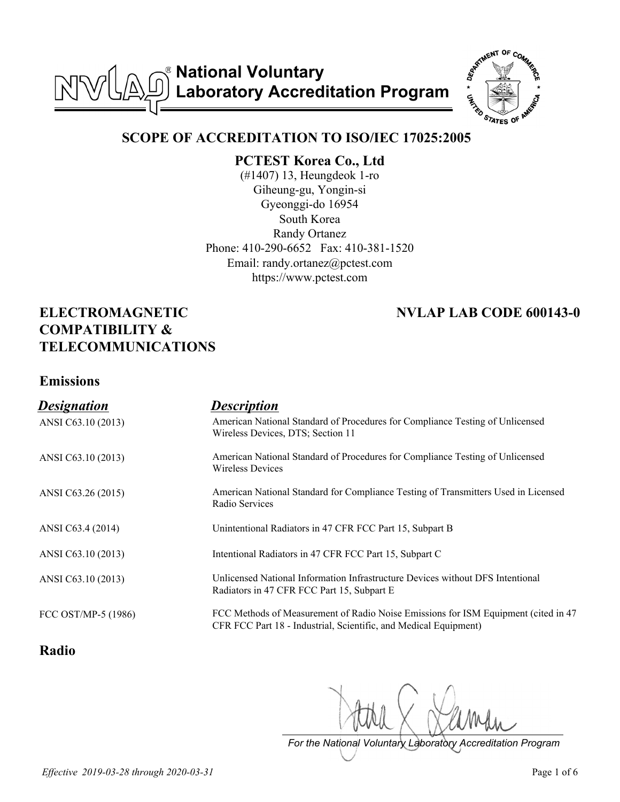**National Voluntary**  NVL  $\mathbb{A}$ **Laboratory Accreditation Program**



### **SCOPE OF ACCREDITATION TO ISO/IEC 17025:2005**

**PCTEST Korea Co., Ltd**

(#1407) 13, Heungdeok 1-ro Giheung-gu, Yongin-si Gyeonggi-do 16954 South Korea Randy Ortanez Phone: 410-290-6652 Fax: 410-381-1520 Email: randy.ortanez@pctest.com https://www.pctest.com

# **ELECTROMAGNETIC COMPATIBILITY & TELECOMMUNICATIONS**

# **NVLAP LAB CODE 600143-0**

#### **Emissions**

| <b>Designation</b>  | <b>Description</b>                                                                                                                                      |
|---------------------|---------------------------------------------------------------------------------------------------------------------------------------------------------|
| ANSI C63.10 (2013)  | American National Standard of Procedures for Compliance Testing of Unlicensed<br>Wireless Devices, DTS; Section 11                                      |
| ANSI C63.10 (2013)  | American National Standard of Procedures for Compliance Testing of Unlicensed<br><b>Wireless Devices</b>                                                |
| ANSI C63.26 (2015)  | American National Standard for Compliance Testing of Transmitters Used in Licensed<br>Radio Services                                                    |
| ANSI C63.4 (2014)   | Unintentional Radiators in 47 CFR FCC Part 15, Subpart B                                                                                                |
| ANSI C63.10 (2013)  | Intentional Radiators in 47 CFR FCC Part 15, Subpart C                                                                                                  |
| ANSI C63.10 (2013)  | Unlicensed National Information Infrastructure Devices without DFS Intentional<br>Radiators in 47 CFR FCC Part 15, Subpart E                            |
| FCC OST/MP-5 (1986) | FCC Methods of Measurement of Radio Noise Emissions for ISM Equipment (cited in 47)<br>CFR FCC Part 18 - Industrial, Scientific, and Medical Equipment) |

### **Radio**

*For the National Voluntary Laboratory Accreditation Program*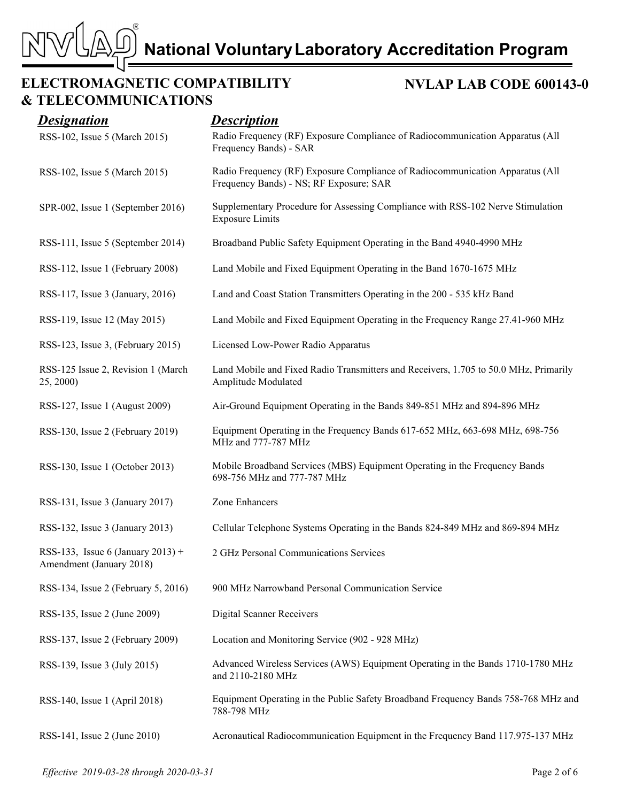**NVLAP LAB CODE 600143-0**

### **ELECTROMAGNETIC COMPATIBILITY & TELECOMMUNICATIONS**

 $\mathbb N$ 

| <b>Designation</b>                                            | <b>Description</b>                                                                                                       |
|---------------------------------------------------------------|--------------------------------------------------------------------------------------------------------------------------|
| RSS-102, Issue 5 (March 2015)                                 | Radio Frequency (RF) Exposure Compliance of Radiocommunication Apparatus (All<br>Frequency Bands) - SAR                  |
| RSS-102, Issue 5 (March 2015)                                 | Radio Frequency (RF) Exposure Compliance of Radiocommunication Apparatus (All<br>Frequency Bands) - NS; RF Exposure; SAR |
| SPR-002, Issue 1 (September 2016)                             | Supplementary Procedure for Assessing Compliance with RSS-102 Nerve Stimulation<br><b>Exposure Limits</b>                |
| RSS-111, Issue 5 (September 2014)                             | Broadband Public Safety Equipment Operating in the Band 4940-4990 MHz                                                    |
| RSS-112, Issue 1 (February 2008)                              | Land Mobile and Fixed Equipment Operating in the Band 1670-1675 MHz                                                      |
| RSS-117, Issue 3 (January, 2016)                              | Land and Coast Station Transmitters Operating in the 200 - 535 kHz Band                                                  |
| RSS-119, Issue 12 (May 2015)                                  | Land Mobile and Fixed Equipment Operating in the Frequency Range 27.41-960 MHz                                           |
| RSS-123, Issue 3, (February 2015)                             | Licensed Low-Power Radio Apparatus                                                                                       |
| RSS-125 Issue 2, Revision 1 (March<br>25, 2000)               | Land Mobile and Fixed Radio Transmitters and Receivers, 1.705 to 50.0 MHz, Primarily<br>Amplitude Modulated              |
| RSS-127, Issue 1 (August 2009)                                | Air-Ground Equipment Operating in the Bands 849-851 MHz and 894-896 MHz                                                  |
| RSS-130, Issue 2 (February 2019)                              | Equipment Operating in the Frequency Bands 617-652 MHz, 663-698 MHz, 698-756<br>MHz and 777-787 MHz                      |
| RSS-130, Issue 1 (October 2013)                               | Mobile Broadband Services (MBS) Equipment Operating in the Frequency Bands<br>698-756 MHz and 777-787 MHz                |
| RSS-131, Issue 3 (January 2017)                               | Zone Enhancers                                                                                                           |
| RSS-132, Issue 3 (January 2013)                               | Cellular Telephone Systems Operating in the Bands 824-849 MHz and 869-894 MHz                                            |
| RSS-133, Issue 6 (January 2013) +<br>Amendment (January 2018) | 2 GHz Personal Communications Services                                                                                   |
| RSS-134, Issue 2 (February 5, 2016)                           | 900 MHz Narrowband Personal Communication Service                                                                        |
| RSS-135, Issue 2 (June 2009)                                  | <b>Digital Scanner Receivers</b>                                                                                         |
| RSS-137, Issue 2 (February 2009)                              | Location and Monitoring Service (902 - 928 MHz)                                                                          |
| RSS-139, Issue 3 (July 2015)                                  | Advanced Wireless Services (AWS) Equipment Operating in the Bands 1710-1780 MHz<br>and 2110-2180 MHz                     |
| RSS-140, Issue 1 (April 2018)                                 | Equipment Operating in the Public Safety Broadband Frequency Bands 758-768 MHz and<br>788-798 MHz                        |
| RSS-141, Issue 2 (June 2010)                                  | Aeronautical Radiocommunication Equipment in the Frequency Band 117.975-137 MHz                                          |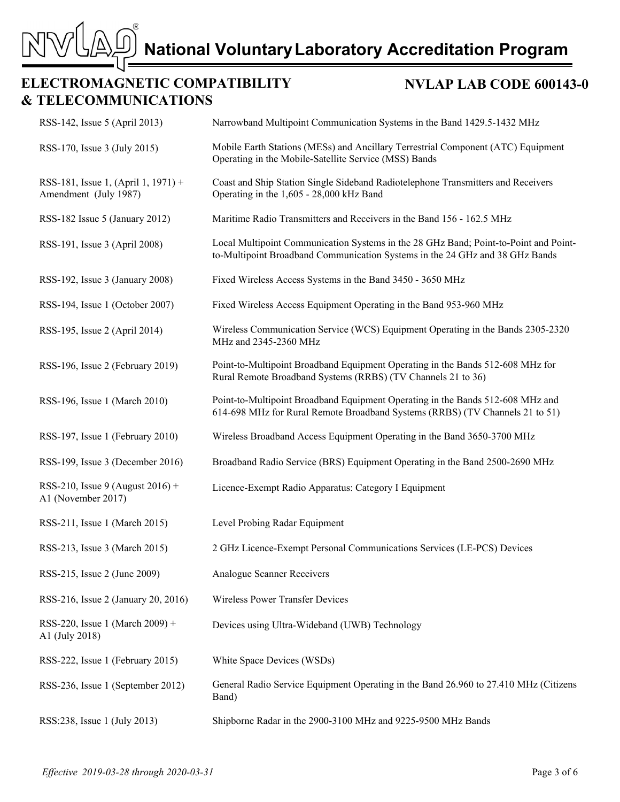### **ELECTROMAGNETIC COMPATIBILITY & TELECOMMUNICATIONS**

 $\bar{\triangledown}$ 

 $\mathbb{N}^{\mathsf{c}}$ 

#### **NVLAP LAB CODE 600143-0**

| RSS-142, Issue 5 (April 2013)                                | Narrowband Multipoint Communication Systems in the Band 1429.5-1432 MHz                                                                                              |
|--------------------------------------------------------------|----------------------------------------------------------------------------------------------------------------------------------------------------------------------|
| RSS-170, Issue 3 (July 2015)                                 | Mobile Earth Stations (MESs) and Ancillary Terrestrial Component (ATC) Equipment<br>Operating in the Mobile-Satellite Service (MSS) Bands                            |
| RSS-181, Issue 1, (April 1, 1971) +<br>Amendment (July 1987) | Coast and Ship Station Single Sideband Radiotelephone Transmitters and Receivers<br>Operating in the 1,605 - 28,000 kHz Band                                         |
| RSS-182 Issue 5 (January 2012)                               | Maritime Radio Transmitters and Receivers in the Band 156 - 162.5 MHz                                                                                                |
| RSS-191, Issue 3 (April 2008)                                | Local Multipoint Communication Systems in the 28 GHz Band; Point-to-Point and Point-<br>to-Multipoint Broadband Communication Systems in the 24 GHz and 38 GHz Bands |
| RSS-192, Issue 3 (January 2008)                              | Fixed Wireless Access Systems in the Band 3450 - 3650 MHz                                                                                                            |
| RSS-194, Issue 1 (October 2007)                              | Fixed Wireless Access Equipment Operating in the Band 953-960 MHz                                                                                                    |
| RSS-195, Issue 2 (April 2014)                                | Wireless Communication Service (WCS) Equipment Operating in the Bands 2305-2320<br>MHz and 2345-2360 MHz                                                             |
| RSS-196, Issue 2 (February 2019)                             | Point-to-Multipoint Broadband Equipment Operating in the Bands 512-608 MHz for<br>Rural Remote Broadband Systems (RRBS) (TV Channels 21 to 36)                       |
| RSS-196, Issue 1 (March 2010)                                | Point-to-Multipoint Broadband Equipment Operating in the Bands 512-608 MHz and<br>614-698 MHz for Rural Remote Broadband Systems (RRBS) (TV Channels 21 to 51)       |
| RSS-197, Issue 1 (February 2010)                             | Wireless Broadband Access Equipment Operating in the Band 3650-3700 MHz                                                                                              |
| RSS-199, Issue 3 (December 2016)                             | Broadband Radio Service (BRS) Equipment Operating in the Band 2500-2690 MHz                                                                                          |
| RSS-210, Issue 9 (August 2016) +<br>A1 (November 2017)       | Licence-Exempt Radio Apparatus: Category I Equipment                                                                                                                 |
| RSS-211, Issue 1 (March 2015)                                | Level Probing Radar Equipment                                                                                                                                        |
| RSS-213, Issue 3 (March 2015)                                | 2 GHz Licence-Exempt Personal Communications Services (LE-PCS) Devices                                                                                               |
| RSS-215, Issue 2 (June 2009)                                 | Analogue Scanner Receivers                                                                                                                                           |
| RSS-216, Issue 2 (January 20, 2016)                          | Wireless Power Transfer Devices                                                                                                                                      |
| RSS-220, Issue 1 (March 2009) +<br>A1 (July 2018)            | Devices using Ultra-Wideband (UWB) Technology                                                                                                                        |
| RSS-222, Issue 1 (February 2015)                             | White Space Devices (WSDs)                                                                                                                                           |
| RSS-236, Issue 1 (September 2012)                            | General Radio Service Equipment Operating in the Band 26.960 to 27.410 MHz (Citizens<br>Band)                                                                        |
| RSS:238, Issue 1 (July 2013)                                 | Shipborne Radar in the 2900-3100 MHz and 9225-9500 MHz Bands                                                                                                         |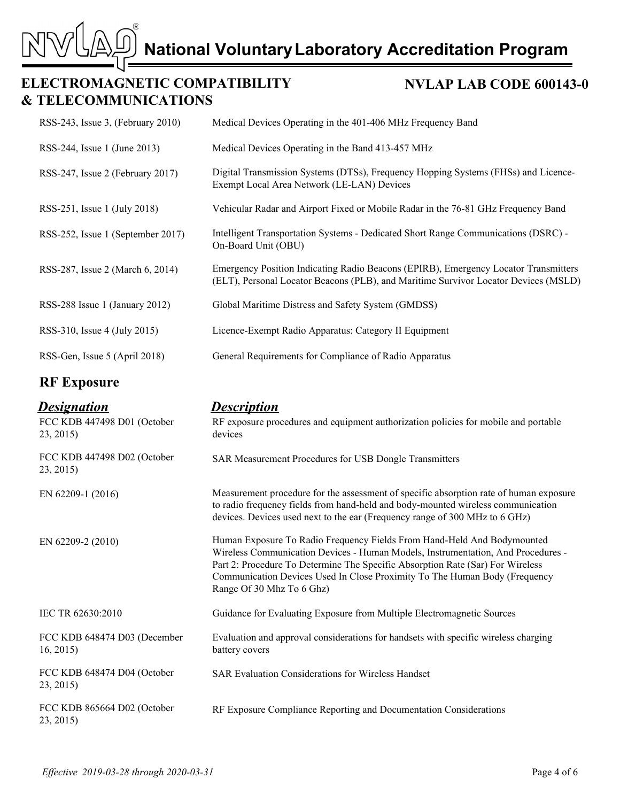# **ELECTROMAGNETIC COMPATIBILITY & TELECOMMUNICATIONS**

M<sup>5</sup>

#### **NVLAP LAB CODE 600143-0**

| RSS-243, Issue 3, (February 2010)                      | Medical Devices Operating in the 401-406 MHz Frequency Band                                                                                                                |
|--------------------------------------------------------|----------------------------------------------------------------------------------------------------------------------------------------------------------------------------|
| RSS-244, Issue 1 (June 2013)                           | Medical Devices Operating in the Band 413-457 MHz                                                                                                                          |
| RSS-247, Issue 2 (February 2017)                       | Digital Transmission Systems (DTSs), Frequency Hopping Systems (FHSs) and Licence-<br>Exempt Local Area Network (LE-LAN) Devices                                           |
| RSS-251, Issue 1 (July 2018)                           | Vehicular Radar and Airport Fixed or Mobile Radar in the 76-81 GHz Frequency Band                                                                                          |
| RSS-252, Issue 1 (September 2017)                      | Intelligent Transportation Systems - Dedicated Short Range Communications (DSRC) -<br>On-Board Unit (OBU)                                                                  |
| RSS-287, Issue 2 (March 6, 2014)                       | Emergency Position Indicating Radio Beacons (EPIRB), Emergency Locator Transmitters<br>(ELT), Personal Locator Beacons (PLB), and Maritime Survivor Locator Devices (MSLD) |
| RSS-288 Issue 1 (January 2012)                         | Global Maritime Distress and Safety System (GMDSS)                                                                                                                         |
| RSS-310, Issue 4 (July 2015)                           | Licence-Exempt Radio Apparatus: Category II Equipment                                                                                                                      |
| RSS-Gen, Issue 5 (April 2018)                          | General Requirements for Compliance of Radio Apparatus                                                                                                                     |
| <b>RF Exposure</b>                                     |                                                                                                                                                                            |
| <b>Designation</b><br>$ECC$ KDD $147400$ D01 (Oetabar) | <b>Description</b><br>DE synogure presedures and covinment sutherization policies for makile and nortable                                                                  |

| FCC KDB 447498 D01 (October<br>23, 2015) | RF exposure procedures and equipment authorization policies for mobile and portable<br>devices                                                                                                                                                                                                                                                           |
|------------------------------------------|----------------------------------------------------------------------------------------------------------------------------------------------------------------------------------------------------------------------------------------------------------------------------------------------------------------------------------------------------------|
| FCC KDB 447498 D02 (October<br>23, 2015) | SAR Measurement Procedures for USB Dongle Transmitters                                                                                                                                                                                                                                                                                                   |
| EN 62209-1 (2016)                        | Measurement procedure for the assessment of specific absorption rate of human exposure<br>to radio frequency fields from hand-held and body-mounted wireless communication<br>devices. Devices used next to the ear (Frequency range of 300 MHz to 6 GHz)                                                                                                |
| EN 62209-2 (2010)                        | Human Exposure To Radio Frequency Fields From Hand-Held And Bodymounted<br>Wireless Communication Devices - Human Models, Instrumentation, And Procedures -<br>Part 2: Procedure To Determine The Specific Absorption Rate (Sar) For Wireless<br>Communication Devices Used In Close Proximity To The Human Body (Frequency<br>Range Of 30 Mhz To 6 Ghz) |
| IEC TR 62630:2010                        | Guidance for Evaluating Exposure from Multiple Electromagnetic Sources                                                                                                                                                                                                                                                                                   |
| FCC KDB 648474 D03 (December<br>16, 2015 | Evaluation and approval considerations for handsets with specific wireless charging<br>battery covers                                                                                                                                                                                                                                                    |
| FCC KDB 648474 D04 (October<br>23, 2015) | <b>SAR Evaluation Considerations for Wireless Handset</b>                                                                                                                                                                                                                                                                                                |
| FCC KDB 865664 D02 (October<br>23, 2015) | RF Exposure Compliance Reporting and Documentation Considerations                                                                                                                                                                                                                                                                                        |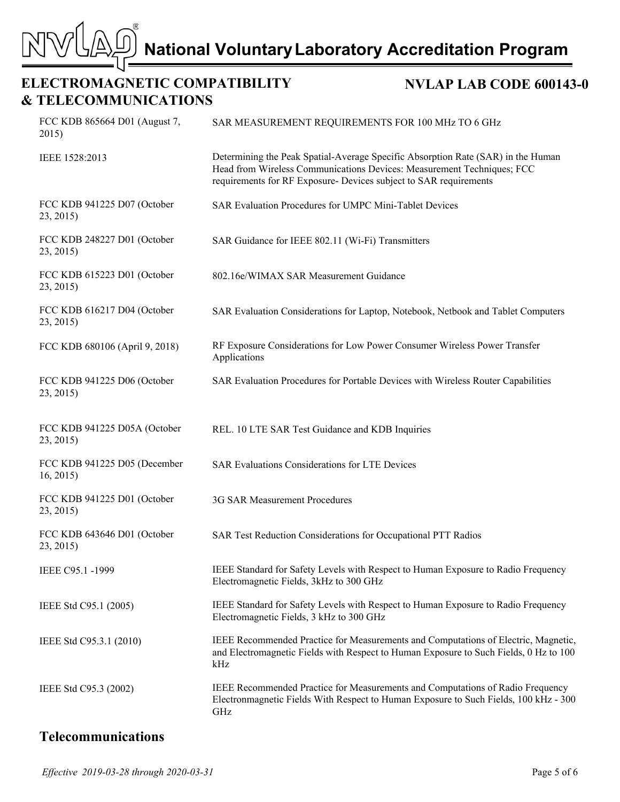# **ELECTROMAGNETIC COMPATIBILITY & TELECOMMUNICATIONS**

 $\bar{\triangledown}$ 

**MS** 

#### **NVLAP LAB CODE 600143-0**

| FCC KDB 865664 D01 (August 7,<br>2015)    | SAR MEASUREMENT REQUIREMENTS FOR 100 MHz TO 6 GHz                                                                                                                                                                               |
|-------------------------------------------|---------------------------------------------------------------------------------------------------------------------------------------------------------------------------------------------------------------------------------|
| IEEE 1528:2013                            | Determining the Peak Spatial-Average Specific Absorption Rate (SAR) in the Human<br>Head from Wireless Communications Devices: Measurement Techniques; FCC<br>requirements for RF Exposure- Devices subject to SAR requirements |
| FCC KDB 941225 D07 (October<br>23, 2015)  | SAR Evaluation Procedures for UMPC Mini-Tablet Devices                                                                                                                                                                          |
| FCC KDB 248227 D01 (October<br>23, 2015)  | SAR Guidance for IEEE 802.11 (Wi-Fi) Transmitters                                                                                                                                                                               |
| FCC KDB 615223 D01 (October<br>23, 2015)  | 802.16e/WIMAX SAR Measurement Guidance                                                                                                                                                                                          |
| FCC KDB 616217 D04 (October<br>23, 2015)  | SAR Evaluation Considerations for Laptop, Notebook, Netbook and Tablet Computers                                                                                                                                                |
| FCC KDB 680106 (April 9, 2018)            | RF Exposure Considerations for Low Power Consumer Wireless Power Transfer<br>Applications                                                                                                                                       |
| FCC KDB 941225 D06 (October<br>23, 2015)  | SAR Evaluation Procedures for Portable Devices with Wireless Router Capabilities                                                                                                                                                |
| FCC KDB 941225 D05A (October<br>23, 2015) | REL. 10 LTE SAR Test Guidance and KDB Inquiries                                                                                                                                                                                 |
| FCC KDB 941225 D05 (December<br>16, 2015  | <b>SAR Evaluations Considerations for LTE Devices</b>                                                                                                                                                                           |
| FCC KDB 941225 D01 (October<br>23, 2015)  | 3G SAR Measurement Procedures                                                                                                                                                                                                   |
| FCC KDB 643646 D01 (October<br>23, 2015)  | SAR Test Reduction Considerations for Occupational PTT Radios                                                                                                                                                                   |
| IEEE C95.1 -1999                          | IEEE Standard for Safety Levels with Respect to Human Exposure to Radio Frequency<br>Electromagnetic Fields, 3kHz to 300 GHz                                                                                                    |
| IEEE Std C95.1 (2005)                     | IEEE Standard for Safety Levels with Respect to Human Exposure to Radio Frequency<br>Electromagnetic Fields, 3 kHz to 300 GHz                                                                                                   |
| IEEE Std C95.3.1 (2010)                   | IEEE Recommended Practice for Measurements and Computations of Electric, Magnetic,<br>and Electromagnetic Fields with Respect to Human Exposure to Such Fields, 0 Hz to 100<br>kHz                                              |
| IEEE Std C95.3 (2002)                     | IEEE Recommended Practice for Measurements and Computations of Radio Frequency<br>Electronmagnetic Fields With Respect to Human Exposure to Such Fields, 100 kHz - 300<br>GHz                                                   |

# **Telecommunications**